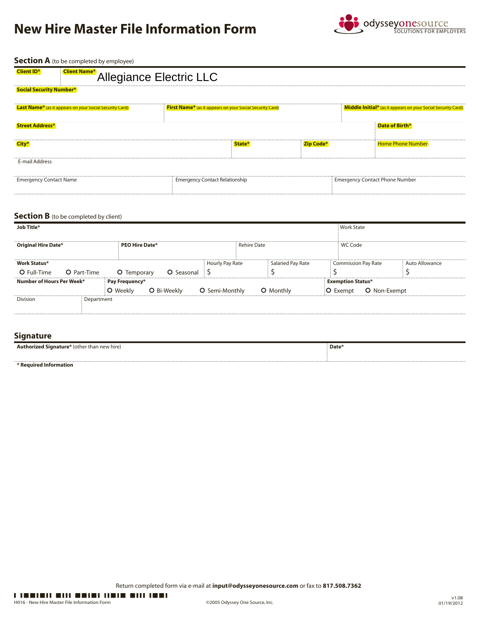# **New Hire Master File Information Form**



**Section A** (to be completed by employee)

| <b>Client ID*</b><br><b>Client Name*</b>                       | Allegiance Electric LLC                                              |                  |                                                              |  |  |  |  |  |  |
|----------------------------------------------------------------|----------------------------------------------------------------------|------------------|--------------------------------------------------------------|--|--|--|--|--|--|
| <b>Social Security Number*</b>                                 |                                                                      |                  |                                                              |  |  |  |  |  |  |
| <b>Last Name*</b> (as it appears on your Social Security Card) | First Name <sup>*</sup> (as it appears on your Social Security Card) |                  | Middle Initial* (as it appears on your Social Security Card) |  |  |  |  |  |  |
| <b>Street Address*</b>                                         |                                                                      |                  | Date of Birth*                                               |  |  |  |  |  |  |
| City*                                                          | State*                                                               | <b>Zip Code*</b> | <b>Home Phone Number</b>                                     |  |  |  |  |  |  |
| E-mail Address                                                 |                                                                      |                  |                                                              |  |  |  |  |  |  |
| <b>Emergency Contact Name</b>                                  | <b>Emergency Contact Relationship</b>                                |                  | <b>Emergency Contact Phone Number</b>                        |  |  |  |  |  |  |
|                                                                |                                                                      |                  |                                                              |  |  |  |  |  |  |

### **Section B** (to be completed by client)

| Job Title*                 |             | <b>Work State</b>     |             |                 |                   |                            |                |
|----------------------------|-------------|-----------------------|-------------|-----------------|-------------------|----------------------------|----------------|
|                            |             |                       |             |                 |                   |                            |                |
| <b>Original Hire Date*</b> |             | <b>PEO Hire Date*</b> |             |                 | Rehire Date       | WC Code                    |                |
|                            |             |                       |             |                 |                   |                            |                |
| <b>Work Status*</b>        |             |                       |             | Hourly Pay Rate | Salaried Pay Rate | <b>Commission Pay Rate</b> | Auto Allowance |
| O Full-Time                | O Part-Time | O Temporary           | O Seasonal  |                 |                   |                            |                |
| Number of Hours Per Week*  |             | Pay Frequency*        |             |                 |                   | <b>Exemption Status*</b>   |                |
|                            |             | <b>)</b> Weekly       | O Bi-Weekly | O Semi-Monthly  | O Monthly         | O Non-Exempt<br>O Exempt   |                |
| Division                   | Department  |                       |             |                 |                   |                            |                |
|                            |             |                       |             |                 |                   |                            |                |

## **Signature**

| <b>Authorized Signature</b> * (other than new hire) | Date* |
|-----------------------------------------------------|-------|
|                                                     |       |

**\* Required Information**

Return completed form via e-mail at **input@odysseyonesource.com** or fax to **817.508.7362**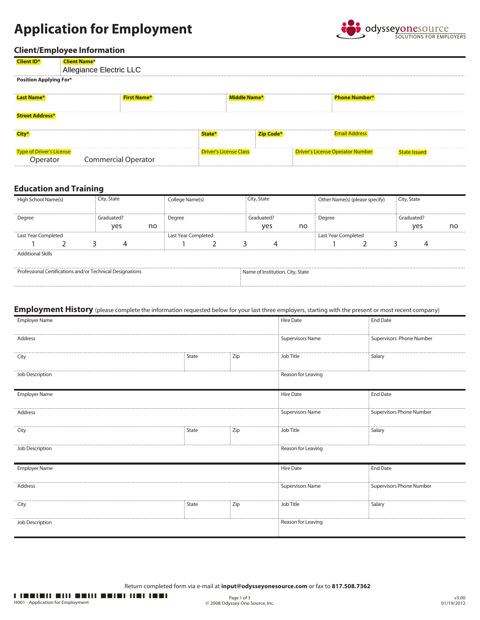# **Application for Employment**



## **Client/Employee Information**

| <b>Client ID*</b>                    | <b>Client Name*</b><br>Allegiance Electric LLC |                               |                                         |              |
|--------------------------------------|------------------------------------------------|-------------------------------|-----------------------------------------|--------------|
| <b>Position Applying For*</b>        |                                                |                               |                                         |              |
| Last Name*                           | <b>First Name*</b>                             | Middle Name*                  | <b>Phone Number*</b>                    |              |
| <b>Street Address*</b>               |                                                |                               |                                         |              |
| City*                                |                                                | <b>Zip Code*</b><br>State*    | <b>Email Address</b>                    |              |
| Type of Driver's License<br>Operator | <b>Commercial Operator</b>                     | <b>Driver's License Class</b> | <b>Driver's License Operator Number</b> | State Issued |

## **Education and Training**

| chool Name(s)            |  | City, State         |    | College Name(s) |  | City, State         |    |        | Other Name(s) (please specify) | City, State |            |    |
|--------------------------|--|---------------------|----|-----------------|--|---------------------|----|--------|--------------------------------|-------------|------------|----|
|                          |  |                     |    |                 |  |                     |    |        |                                |             |            |    |
| Degree                   |  |                     |    | Degree          |  | Sraduated?          |    | Degree |                                |             | Graduated? |    |
|                          |  | ves                 | no |                 |  | ves                 | no |        |                                |             | ves        | nc |
| Last Year Completed      |  | Last Year Completed |    |                 |  | Last Year Completed |    |        |                                |             |            |    |
|                          |  |                     |    |                 |  |                     |    |        |                                |             |            |    |
| <b>Additional Skills</b> |  |                     |    |                 |  |                     |    |        |                                |             |            |    |

| Professional Certifications and/or Technical Designations | Name of Institution, City, State |
|-----------------------------------------------------------|----------------------------------|
|                                                           |                                  |

## **Employment History** (please complete the information requested below for your last three employers, starting with the present or most recent company)

| Employer Name        | <b>Hire Date</b>   | <b>End Date</b>          |                         |                          |
|----------------------|--------------------|--------------------------|-------------------------|--------------------------|
| Address              | Supervisors Name   | Supervisors Phone Number |                         |                          |
| City                 | State              | Zip                      | Job Title               | Salary                   |
| Job Description      | Reason for Leaving |                          |                         |                          |
| <b>Employer Name</b> |                    |                          | <b>Hire Date</b>        | <b>End Date</b>          |
| Address              |                    |                          | <b>Supervisors Name</b> | Supervisors Phone Number |
| City                 | State              | Zip                      | Job Title               | Salary                   |
| Job Description      | Reason for Leaving |                          |                         |                          |
| <b>Employer Name</b> |                    |                          | <b>Hire Date</b>        | <b>End Date</b>          |
| Address              |                    |                          | <b>Supervisors Name</b> | Supervisors Phone Number |
| City                 | State              | Zip                      | Job Title               | Salary                   |
| Job Description      |                    |                          | Reason for Leaving      |                          |

Return completed form via e-mail at **input@odysseyonesource.com** or fax to **817.508.7362**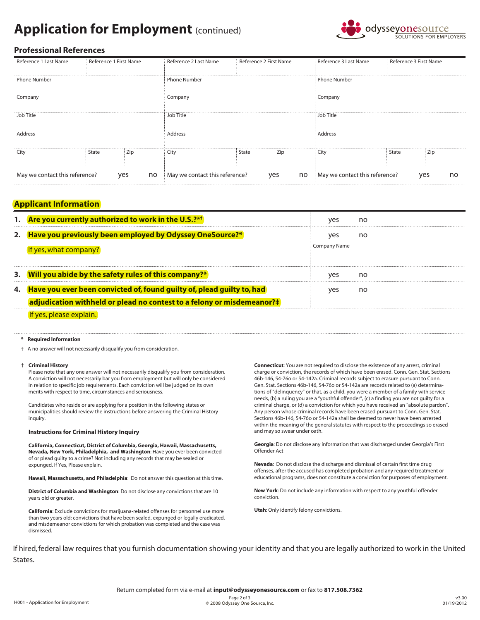# **Application for Employment** (continued)



## **Professional References**

| Reference 1 Last Name          | Reference 1 First Name |           | Reference 2 Last Name          | Reference 2 First Name |           | Reference 3 Last Name          | Reference 3 First Name |     |    |
|--------------------------------|------------------------|-----------|--------------------------------|------------------------|-----------|--------------------------------|------------------------|-----|----|
| Phone Number                   |                        |           | <b>Phone Number</b>            |                        |           | <b>Phone Number</b>            |                        |     |    |
| Company                        |                        |           | Company                        |                        |           | Company                        |                        |     |    |
| Job Title                      |                        |           | Job Title                      |                        |           | Job Title                      |                        |     |    |
| Address                        |                        |           | Address                        |                        |           | Address                        |                        |     |    |
| City                           | State                  | Zip       | City                           | State                  | Zip       | City                           | State                  | ∠ip |    |
| May we contact this reference? |                        | no<br>yes | May we contact this reference? |                        | no<br>yes | May we contact this reference? |                        | yes | no |

## **Applicant Information**

| Are you currently authorized to work in the U.S.?**                       |              |    |
|---------------------------------------------------------------------------|--------------|----|
| Have you previously been employed by Odyssey OneSource?*                  |              | no |
| f yes, what company?                                                      | Company Name |    |
| 3. Will you abide by the safety rules of this company?*                   |              | no |
| 4. Have you ever been convicted of, found guilty of, plead guilty to, had |              |    |
| adjudication withheld or plead no contest to a felony or misdemeanor?#    |              |    |
|                                                                           |              |    |

#### **Required Information**

† A no answer will not necessarily disqualify you from consideration.

#### ‡ **Criminal History**

 Please note that any one answer will not necessarily disqualify you from consideration. A conviction will not necessarily bar you from employment but will only be considered in relation to specific job requirements. Each conviction will be judged on its own merits with respect to time, circumstances and seriousness.

 Candidates who reside or are applying for a position in the following states or municipalities should review the instructions before answering the Criminal History inquiry.

#### **Instructions for Criminal History Inquiry**

**California, Connecticut, District of Columbia, Georgia, Hawaii, Massachusetts, Nevada, New York, Philadelphia, and Washington**: Have you ever been convicted of or plead guilty to a crime? Not including any records that may be sealed or expunged. If Yes, Please explain.

**Hawaii, Massachusetts, and Philadelphia**: Do not answer this question at this time.

**District of Columbia and Washington**: Do not disclose any convictions that are 10 years old or greater.

**California**: Exclude convictions for marijuana-related offenses for personnel use more than two years old; convictions that have been sealed, expunged or legally eradicated, and misdemeanor convictions for which probation was completed and the case was dismissed.

**Connecticut**: You are not required to disclose the existence of any arrest, criminal charge or conviction, the records of which have been erased. Conn. Gen. Stat. Sections 46b-146, 54-76o or 54-142a. Criminal records subject to erasure pursuant to Conn. Gen. Stat. Sections 46b-146, 54-76o or 54-142a are records related to (a) determinations of "delinquency" or that, as a child, you were a member of a family with service needs, (b) a ruling you are a "youthful offender", (c) a finding you are not guilty for a criminal charge, or (d) a conviction for which you have received an "absolute pardon". Any person whose criminal records have been erased pursuant to Conn. Gen. Stat. Sections 46b-146, 54-76o or 54-142a shall be deemed to never have been arrested within the meaning of the general statutes with respect to the proceedings so erased and may so swear under oath.

**Georgia**: Do not disclose any information that was discharged under Georgia's First Offender Act

**Nevada**: Do not disclose the discharge and dismissal of certain first time drug offenses, after the accused has completed probation and any required treatment or educational programs, does not constitute a conviction for purposes of employment.

**New York**: Do not include any information with respect to any youthful offender conviction.

**Utah**: Only identify felony convictions.

If hired, federal law requires that you furnish documentation showing your identity and that you are legally authorized to work in the United States.

Return completed form via e-mail at **input@odysseyonesource.com** or fax to **817.508.7362**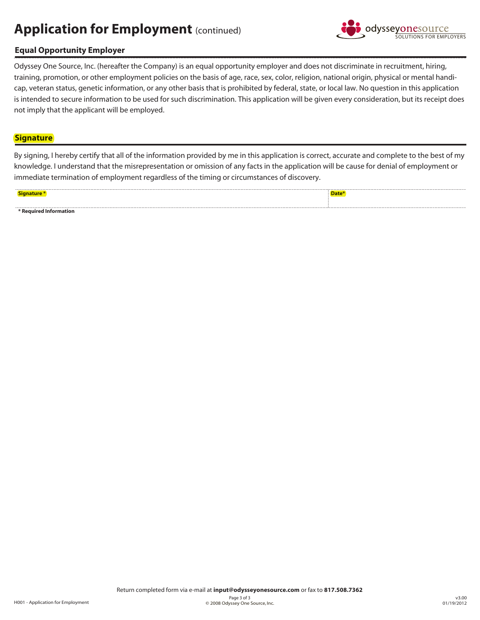# **Application for Employment (continued)**



## **Equal Opportunity Employer**

Odyssey One Source, Inc. (hereafter the Company) is an equal opportunity employer and does not discriminate in recruitment, hiring, training, promotion, or other employment policies on the basis of age, race, sex, color, religion, national origin, physical or mental handicap, veteran status, genetic information, or any other basis that is prohibited by federal, state, or local law. No question in this application is intended to secure information to be used for such discrimination. This application will be given every consideration, but its receipt does not imply that the applicant will be employed.

## **Signature**

By signing, I hereby certify that all of the information provided by me in this application is correct, accurate and complete to the best of my knowledge. I understand that the misrepresentation or omission of any facts in the application will be cause for denial of employment or immediate termination of employment regardless of the timing or circumstances of discovery.

| .<br>ignature :        | .<br><u> The Common Section of the Common Section of</u><br>Date <sup>*</sup> |
|------------------------|-------------------------------------------------------------------------------|
|                        |                                                                               |
| * Required Information | .                                                                             |